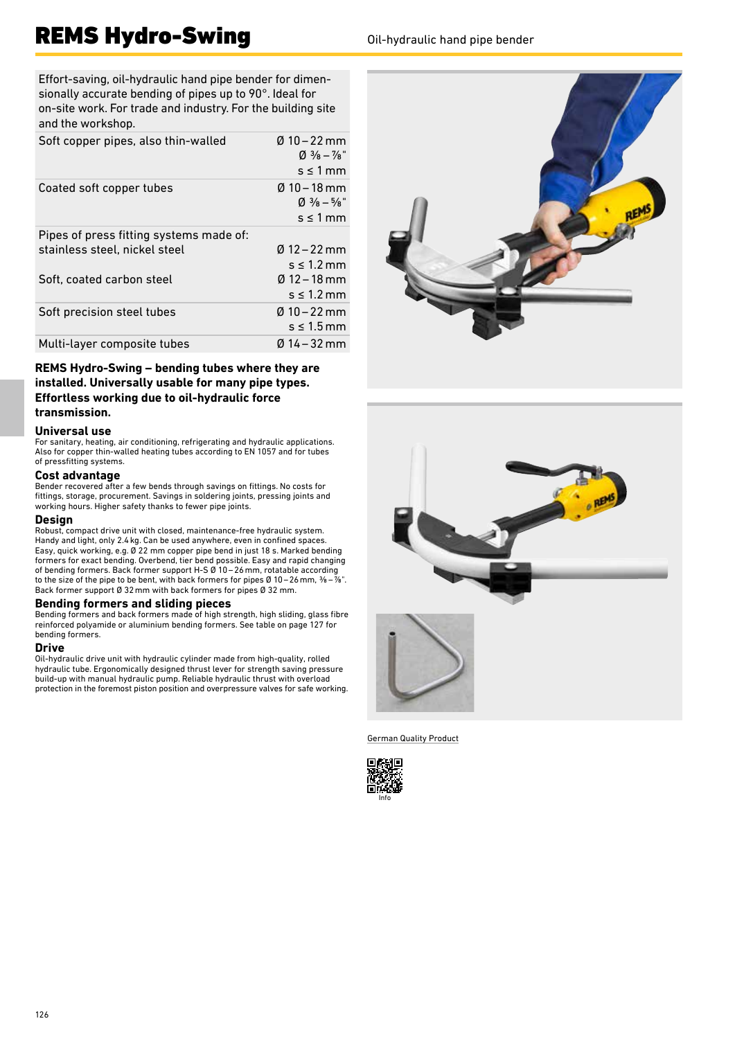# REMS Hydro-Swing **Oil-hydraulic hand pipe bender**

Effort-saving, oil-hydraulic hand pipe bender for dimensionally accurate bending of pipes up to 90°. Ideal for on-site work. For trade and industry. For the building site and the workshop.

| Soft copper pipes, also thin-walled     | $0.10 - 22$ mm<br>$\varnothing$ 3/ <sub>8</sub> – 7/ <sub>8</sub><br>$s \leq 1$ mm |
|-----------------------------------------|------------------------------------------------------------------------------------|
| Coated soft copper tubes                | $0$ 10 – 18 mm<br>$\varnothing$ 3/ <sub>8</sub> – 5/ <sub>8</sub><br>$s \leq 1$ mm |
| Pipes of press fitting systems made of: |                                                                                    |
| stainless steel, nickel steel           | $0.12 - 22$ mm                                                                     |
|                                         | $s \leq 1.2$ mm                                                                    |
| Soft, coated carbon steel               | $0.12 - 18$ mm                                                                     |
|                                         | $s \leq 1.2$ mm                                                                    |
| Soft precision steel tubes              | $0.10 - 22$ mm                                                                     |
|                                         | $s \leq 1.5$ mm                                                                    |
| Multi-layer composite tubes             | $0.14 - 32$ mm                                                                     |

**REMS Hydro-Swing – bending tubes where they are installed. Universally usable for many pipe types. Effortless working due to oil-hydraulic force transmission.**

## **Universal use**

For sanitary, heating, air conditioning, refrigerating and hydraulic applications. Also for copper thin-walled heating tubes according to EN 1057 and for tubes of pressfitting systems.

### **Cost advantage**

Bender recovered after a few bends through savings on fittings. No costs for fittings, storage, procurement. Savings in soldering joints, pressing joints and working hours. Higher safety thanks to fewer pipe joints.

#### **Design**

Robust, compact drive unit with closed, maintenance-free hydraulic system. Handy and light, only 2.4kg. Can be used anywhere, even in confined spaces. Easy, quick working, e.g. Ø 22 mm copper pipe bend in just 18 s. Marked bending formers for exact bending. Overbend, tier bend possible. Easy and rapid changing of bending formers. Back former support H-S Ø 10–26mm, rotatable according to the size of the pipe to be bent, with back formers for pipes Ø 10 – 26 mm, ⅜ – ⅞". Back former support Ø 32mm with back formers for pipes Ø 32 mm.

#### **Bending formers and sliding pieces**

Bending formers and back formers made of high strength, high sliding, glass fibre reinforced polyamide or aluminium bending formers. See table on page 127 for bending formers.

#### **Drive**

Oil-hydraulic drive unit with hydraulic cylinder made from high-quality, rolled hydraulic tube. Ergonomically designed thrust lever for strength saving pressure build-up with manual hydraulic pump. Reliable hydraulic thrust with overload protection in the foremost piston position and overpressure valves for safe working.





German Quality Product